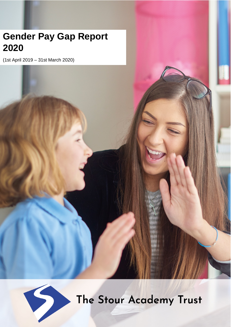# **Gender Pay Gap Report 2021**

(1st April 2019 – 31st March 2020)



The Stour Academy Trust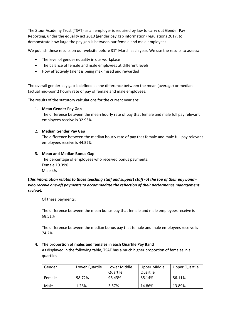The Stour Academy Trust (TSAT) as an employer is required by law to carry out Gender Pay Reporting, under the equality act 2010 (gender pay gap information) regulations 2017, to demonstrate how large the pay gap is between our female and male employees.

We publish these results on our website before 31<sup>st</sup> March each year. We use the results to assess:

- The level of gender equality in our workplace
- The balance of female and male employees at different levels
- How effectively talent is being maximised and rewarded

The overall gender pay gap is defined as the difference between the mean (average) or median (actual mid-point) hourly rate of pay of female and male employees.

The results of the statutory calculations for the current year are:

1. **Mean Gender Pay Gap**

The difference between the mean hourly rate of pay that female and male full pay relevant employees receive is 32.95%

# 2. **Median Gender Pay Gap**

The difference between the median hourly rate of pay that female and male full pay relevant employees receive is 44.57%

# **3. Mean and Median Bonus Gap**

The percentage of employees who received bonus payments: Female 10.39% Male 4%

# **(***this information relates to those teaching staff and support staff -at the top of their pay band who receive one-off payments to accommodate the reflection of their performance management review).*

Of these payments:

The difference between the mean bonus pay that female and male employees receive is 68.51%

The difference between the median bonus pay that female and male employees receive is 74.2%

## **4. The proportion of males and females in each Quartile Pay Band**

As displayed in the following table, TSAT has a much higher proportion of females in all quartiles

| Gender | Lower Quartile | Lower Middle | Upper Middle | Upper Quartile |
|--------|----------------|--------------|--------------|----------------|
|        |                | Quartile     | Quartile     |                |
| Female | 98.72%         | 96.43%       | 85.14%       | 86.11%         |
| Male   | 1.28%          | 3.57%        | 14.86%       | 13.89%         |